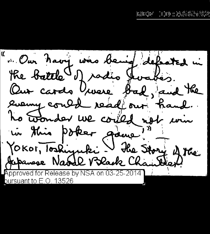**C** " Our havy was being defeated in the battle of radio Jurabis. Our cardo house bad, and the every could read out hand. to wonder we could not win in this poker game? YOKOI, Toskinguki I Hie Story of the  $\,$  Approved for Release by NSA on 03-25-2014  $\,$ <u>bursuant to E.O. 13526</u>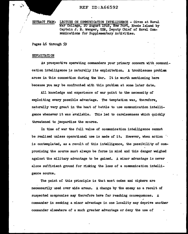್ತು

EXTRACT FROM: LECTURE ON COMMUNICATION INTELLIGENCE - Given at Naval War College, 2o August 1948, New Port, Rhode Island by Captain J. N. Wenger, USN, Deputy Chief of Naval Communications for Supplementary Activities.

Pages 46 through 59

#### EXPLOITATION

As prospective operating commanders your primary concern with communication intelligence is naturally its exploitation. A troublesome problem arose in this connection during the War. It is worth mentioning here because you may be confronted with this problem at some later date.

All knowledge and experience of war point to the necessity of exploiting every possible advantage. The temptation was, therefore, naturally very great in the heat of battle to use communication intelligence whenever it was available. This led to carelessness which quickly threatened to jeopardize the source.

In time of war the full value of communication intelligence cannot be realized unless operational use is made of it. However, when action  $\ddot{\phantom{a}}$ is contemplated, as a result of this intelligence, the possibility of compromising the source must always be forne in mind and this danger weighed against the military advantage to be gained. A minor advantage is never alone sufficient ground for risking the loss of a communication intelligence source.

The point of this principle is that most codes and ciphers are necessarily used over wide areas. A change by the enemy as a result of suspected compromise may therefore have far reaching consequences.  $A$ ; commander in seeking a minor advantage in one locality may deprive another commander elsewhere of a much greater advantage or deny the use of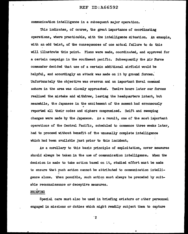communication intelligence in a subsequent major operation.

This indicates, of course, the great importance of coordinating operations, where practicable, with the intelligence situation. An example, with an odd twist, of the consequences of one actual failure to do this will illustrate this point. Plans were made, coordinated, and approved for a certain campaign in the southwest pacific. Subsequently the Air Force commander decided that use of a certain additional airfield would be helpful, and accordingly an attack was made on it by ground forces. Unfortunately the objective was overrun and an important Naval command ashore in the area was closely approached. Twelve hours later our forces realized the mistake and withdrew, leaving the headquarters intact, but meanwhile, the Japanese in the excitement of the moment had erroneously *0*  reported all their codes and ciphers compromised. Swift and sweeping changes were made by the Japanese. As a result, one of the most important operations of the Central Pacific, scheduled to commence three weeks later, had to proceed without benefit of the unusually complete intelligence which had been available just prior to this incident.

As a corollary to this basic principle of exploitation, cover measures should always be taken in the use of communication intelligence. When the decision is made to take action based on it, studied effort must be made to ensure that such action cannot be attributed to communication intelli-•, gence alone. When possible, such action must always be preceded by suitable reconnaissance or deceptive measures.

#### " BRIEFING

Special care must also be used in briefing aviators or other personnel engaged in missions or duties which might readily subject them to capture

0

 $\mathbf{2}$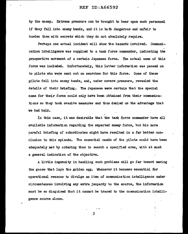by the enemy. Extreme pressure can be brought to bear upon such personnel if they fall into enemy hands, and it is both dangerous and unfair to burden them with secrets which they do not absolutely require.

Perhaps one actual incident will show the hazards involved. Communication intelligence was supplied to a task force commander, indicating the prospective movement of a certain Japanese force. The actual name of this force was included. Unfortunately, this latter information was passed on to pilots who were sent out on searches for this force. Some of these pilots fell into enemy hands, and, under severe pressure, revealed the details of their briefing. The Japanese were certain that the special name for their force could only have been obtained from their communications so they took evasive measures and thus denied us the advantage· that we had held.

In this case, it was desirable that the task force commander have all available information regarding the expected enemy force, but his more careful briefing of subordinates might have resulted in a far better conclusion to this episode. The essential needs of the pilots could have been adequately met by ordering them to search a specified area, with at most a general indication of the objective.

A little ingenuity in handling such problems will go far toward saving the goose that lays the golden egg. Whenever it becomes essential for operational reasons to divulge an item of communication intelligence under circumstances involving any extra jeopardy to the source, the information must be so disguised that it cannot be traced to the communication intelligence source alone.

*3* 

J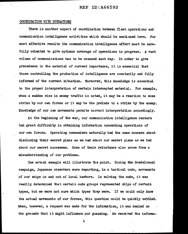## COORDINATION WI'IH OPERATIONS

There is another aspect of coordination between fleet operations am communication intelligence activities which should be mentioned here. For most effective results the communication intelligence effort must be carefully oriented to give optimum coverage of operations in progress. A vast volume of communications has to be scanned each day. In order to give precedence to the material of current importance, it is essential that those controlling the production of intelligence are constantly and fully informed of the current situation. Moreover, this knowledge is essential to the proper interpretation of certain intercepted material. For, example, when a sudden rise in enemy traffic is noted, it may be a reaction to some strike by our own forces or it may be the prelude to a strike by the enemy. Knowledge of our own movements permits correct interpretation accordingly.

At the beginning of the war, our communication intelligence centers had great difficulty in obtaining information concerning operations of our own forces. Operating commanders naturally had the same concern about disclosing their secret plans as we had about our secret plans as we had about our secret successes. Some of their reluctance also arose from a misunderstanding of our problems.

One actual example will illustrate the point. During the Guadalcanal campaign, Japanese observers were reporting, in a tactical code, movements of our ships in and out of local harbors. In solving the code, it was readily determined that certain code groups represented ships of certain types, but we were not sure which types they were. If we could only know the actual movements of our forces, this question could be quickly settled. When, however, a request was made for the information, it was denied on the grounds that it might influence our guessing. We received the informa-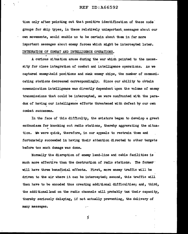tion only after pointing out that positive identification of these code groups for ship types, in these relatively unimportant, messages about our own movements, would enable us to be certain about them in far more important messages about enemy forces which might be intercepted later. INTEGRATION OF COMBAT AND INTELLIGENCE OPERATIONS.

A curious situation arose during the war which pointed to the necessity for close integration of combat and intelligence operations. As we captured enemy-held positions and sank enemy ships, the number of communicating stations decreased correspondingly. Since our ability to obtain communication intelligence was directly dependent upon the volume of enemy transmissions that could be intercepted, we were confronted with the paradox of haVing our intelligence efforts threatened with defeat by our own combat successes.

In the face of this difficulty, the aviators began to develop a great enthusiasm for knocking out radio stations, thereby aggravating the situa-" tion. We were quick, therefore, in our appeals to restrain them and fortunately succeeded in haVing their attention directed. to other targets before too much damage was done.

Normally the disruption of enemy land-line and cable facilities is .... much more effective than the destruction of radio stations. The former in will have three beneficial effects. First, more enemy traffic will be driven to the air where it can be intercepted; second, this traffic will then have to be encoded thus creating additional difficulties; and, third, the additional load on the radio channels will probably tax their capacity, thereby seriously delaying, if not actually preventing, the delivery of many messages.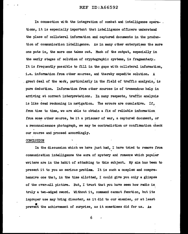In connection with the integration of combat and intelligence opera-. tions, it is especially important that intelligence officers understand the place of collateral information and captured docwnents in the production of communication intelligence. As in many other enterprises the more one puts in, the more one takes out. Much of the output, especially in the early stages of solution of cryptographic systems, is fragmentary.; It is frequently possible to fill in the gaps with collateral information, i.e. information from other sources, and thereby expedite solution. A . great deal of the work, particularly in the field of traffic analysis, is pure deduction. Information from other sources is of tremendous help in arriving at correct interpretations. In many respects, traffic analysis is like dead reckoning in navigation. The errors are cumulative. If, from time to time, we are able to obtain a fix of reliable information. from some other source, be it a prisoner of war, a captured document, or a reconnaissance photograph, we may be contradiction or confirmation check our course and proceed accordingly.

#### CONCLUSION

In the discussion which we have just had, I have tried to remove from communication intelligence the aura of mystery and romance which popular writers are in the habit of attaching to this subject. My aim has been to present it to you as serious problem. It is such a complex and comprehensive one that, in the time allotted, I could give you only a glimpse of the over-all picture. But, I trust that you have seen how radio is ' truly a two-edged sword. Without it, command cannot function, but its improper use may bring disaster, as it did to our enemies, or at least prevent the achievement of surprise, as it sometimes did for us. As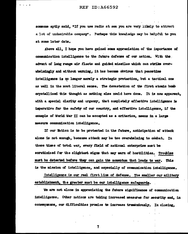someone aptly said. "If you use radio at sea you are very likely to attract a lot of undesirable company". Perhaps this knowledge may be helpful to you at some later date.

Above all. I hope you have gained some appreciation of the importance of communication intelligence to the future defense of our nation. With the advent of long range air fleets and guided missiles which can strike overwhelmingly and without warning, it has become obvious that peacetime intelligence is no longer merely a strategic protection, but a tactical one as well in the most literal sense. The devastation of the first atomic bomb crystallized this thought as nothing else could have done. It is now apparent. with a special clarity and urgency, that completely effective intelligence is imperative for the safety of our country, and effective intelligence, if the example of World War II can be accepted as a criterion, means in a large measure communication intelligence.

If our Nation is to be protected in the future, anticipation of attack alone is not enough, because attack may be too overwhelming to combat. In these times of total war, every field of national enterprise must be scrutinized for the slightest signs that may warn of hostilities. Troubles must be detected before they can gain the momentum that leads to war. This is the mission of intelligence, and especially of communication intelligence.

Intelligence is our real first line of defense. The smaller our military establishment, the greater must be our intelligence safeguards.

We are not alone in appreciating the future significance of communication intelligence. Other nations are taking increased measures for security and, in consequence, our difficulties promise to increase transmiously. In closing,

 $\overline{\mathbf{r}}$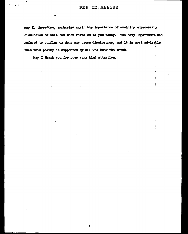may I, therefore, emphasize again the importance of avoiding unnecessary discussion of what has been revealed to you today. The Navy Department has refused to confirm or deny any press disclosures, and it is most advisable that this policy be supported by all who know the truth.

May I thank you for your very kind attention.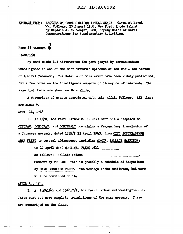EXTRACT FROM: LECTURE ON OOMMUNICATION INTELLIGENCE - Given at Naval. War College, 20 August 1948, New Port, Rhode Island by Captain J. N. Wenger, USN, Deputy Chief of Naval Communications for Supplementary Activities.

# Page 25 **through** 3

#### "YAMAMOTO

My next slide  $(4)$  illustrates the part played by communication intelligence in one of the most dramatic episodes of the war - the ambush of Admiral Yamamoto. The details of this event have been widely publicized,, but a few notes on the intelligence aspects of it may be of interest. The essential facts are shown on this slide.

A chronology of events associated with this affair follows. All times are minus *9.* 

## APRIL 14, 1943

1. At 1008, the Pearl Harbor C. I. Unit sent out a despatch to CINCPAC, COMSOPAC, and COM7THFLT containing a fragmentary translation of a Japanese message, dated  $1755/1$  13 April 1943, from CINC SOUTHEASTERN AREA FLEET to several addressees, including COMDR. BALLALE GARRISON:

On  $18$  April CINC COMBINED FLEET will  $-$ 

as follows: Ballale Island <u>--------</u> -------- -------- --------<br>Comment by FRUPAC: This is probably a schedule of inspection by CINC COMBINED FLEET. The message lacks additives, but work will be continued on it.

# APRIL 15, 1943

2. At  $15\cancel{0}1\cancel{0}$  and  $15\cancel{0}657/1$ , the Pearl Harbor and Washington C.I. Units sent out more complete translations of the same message. These are summarized on the slide.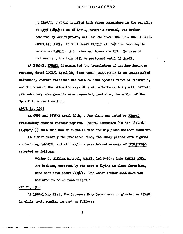At ll49/I, CINCPAC notified task force commanders in the Pacific: At 1000 (0800/I) on 18 April, YAMAMOTO himself, via bomber escorted by six fighters, will arrive from RABAUL in the BALLALE-SHORTLAND AREA. He will leave KAHILI at 16¢¢ the same day to return to RABAUL. All dates and times are "L". In case of bad weather, the trip will be postponed until 19 April.

At 1543/1, FRUMEL disseminated the translation of another Japanese message, dated  $1221/1$  April  $14$ , from RABAUL BASE FORCE to an unidentified addressee, wherein reference was made to "the special visit of YAMAMOTO", and "in view of the situation regarding air attacks on the post", certain precautionary arrangements were requested, including the moving of the "post" to a new location.

## APRIL\_l8, 1943

At *¢5¢5* and ¢535/1 April 18th, a Jap plane· was noted by FRUPAC originating encoded weather reports. FRUPAC commented (in his 181926Z  $(190426/1))$  that this was an "unusual time for Nip plane weather mission".

At almost exactly the predicted time, the enemy planes were sighted approaching BALLALE, and at  $1129/1$ , a paraphrased message of COMAIRSOLS reported as follows:

> "Major J. William Mitchel, USAFF, led P-38's into KAHILI AREA. Two bombers,; escorted by six zero's fiying in close formation, were shot down about  $\cancel{\phi}$ 73 $\cancel{\phi}/1$ . One other bomber shot down was believed to be on test flight."

#### MAY 21, 1943

At  $1500/1$  May 21st, the Japanese Navy Department originated an ALNAV, in plain text, reading in part as follows: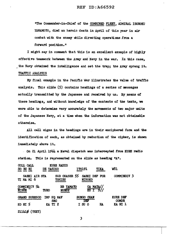"The Commander-in-Chief' or the COMBINED FLEET, ADMIRAL ISOROKU YAMAMOTO, died an heroic death in April of this year in air combat with the enemy while directing operations from a forward position."

I might say in comment that this is an excellent example or highly effective teamwork between the Army and Navy in the war. In this case, the Navy obtained the intelligence and set the trap; the Army sprang it. TRAFFIC ANALYSIS

My final example in the Pacific War illustrates the value of traf'tic analysis. This slide (5) contains headings of a series of messages actually transmitted by the Japanese and received by us. By means of these headings, and without knowledge of the contents of the texts, we were able to determine very accurately the movements of two major units of the Japanese Navy, at a time when the information was not obtainable otherwise.

All call signs in the headings are in their enciphered form and the identification of each, as obtained by reduction of the cipher, is shown immediately above it.

- On 21 April 19h4 a Naval dispatch was intercepted from KURE radio station. This is represented on the slide as heading "A".

| COLL CALL<br>SO RU RI        | DE YASIKO   | KURE RADIO                | <b>ITO191</b>            | <b>TIKA</b>        | W81                      |
|------------------------------|-------------|---------------------------|--------------------------|--------------------|--------------------------|
| SAEKI AIR STA<br>TI MA MI 6  |             | SUB CHASER 55<br>TOHISU   | <b>NIHOKO</b>            | SAEKI DEF FOR      | COMMINDIV <sub>3</sub>   |
| COMMINDIV 54<br><b>NISUE</b> | <b>TUHO</b> | <b>BB YAMATO</b><br>NURUZ |                          | CA MAYA//<br>KUT9/ |                          |
| <b>GRAND SURESCO</b>         | IMP HQ NAV  | <b>SEC</b>                | <b>BUNGO CHAN</b><br>DEF |                    | KURE DEF<br><b>COMDR</b> |
| $KO$ NT 5                    | KA TI 2     |                           | I SU O                   | <b>HA</b>          | KA NI 1                  |
| $211410$ (TEXT)              |             |                           |                          |                    |                          |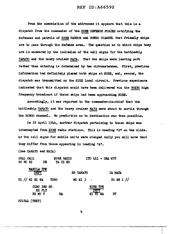From the association of the addresses it appears that this is a dispatch from the commander of the KURE DEFENSE FORCES notifying the defenses and patrols of KURE HARBOR and BUNGO CHANNEL that friendly ships are to pass through the defense area. The question as to which ships tbey are is answered by the inclusion of the call signs for the battleship YAMATO and the heavy cruiser MAYA. That the ships were leaving port rather than entering is determined by two circumstances. First, previous information had definitely placed both ships at KURE, and, second, the dispatch was transmitted on the KURE local circuit. Previous experience indicated that this dispatch would have been delivered via the TOKYO high frequency broadcast if these ships had been approaching KURE.

Accordingly, it was reported to the commander-in-chief that the battleship YAMATO and the heavy cruiser MAYA were about to sortie through the BUNGO channel. No prediction as to destination was then possible.

On 22 April 1944, another dispatch pertaining to these ships was intercepted from KURE radio stations. This is heading "B" on the slide. As the call signs for mobile units were changed daily you will note that they differ from those appearing in heading "A".

(See YAMATO and MAYA)

|  | COLL CALL      |                                  |      | KURE RADIO |             | $ITO 411 - ONA W78$                   |            |  |
|--|----------------|----------------------------------|------|------------|-------------|---------------------------------------|------------|--|
|  | SO RURI        | DE                               |      | YA SI KO   |             |                                       |            |  |
|  |                | MANILA TPN<br>DEPT               |      |            | BB YAMATO   |                                       | CA MAYA    |  |
|  | TI // NI RU NA |                                  | TUHO |            | $MU$ KI $3$ |                                       | TO RE 1 // |  |
|  |                | CINC 3RD SO<br>EX FLT<br>RE MU 8 |      | HA         |             | <b>KURE TPN</b><br>יויקות<br>KI TI WA | BT         |  |

2216li4 (TEXT)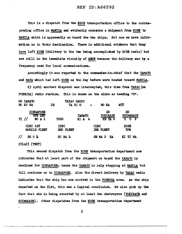This is a dispatch from the KURE transportation office to the corres-<br>ponding office in MANILA and evidently concerns a shipment from KURE to MANILA which is apparently on board the two ships. But now we have information as to their destination. There is additional evidence that they have left KURE (delivery to the two being accomplished by KURE radio) but are still in the immediate vicinity of KURE because the delivery was by a frequency used for local communications.

Accordingly it was reported to the commander-in-chief that the YAMATO and MAYA which had left KURE on the day before were headed toward MANILA.

2.3 April another dispatch was intercepted, this time from TAKAO (on  $FORMOSA)$  radio station. This is shown on the slide as heading  $"C"$ .

| RU             | BB YAMATO<br>KU NA                                        | <b>TAKAO RADIO</b><br>DE<br>TA HI O |                               | RO NA                            | W58                                                          |
|----------------|-----------------------------------------------------------|-------------------------------------|-------------------------------|----------------------------------|--------------------------------------------------------------|
|                | <b>SINGAPORE</b><br><b>THEM DEF</b><br>$\pi$ //<br>NO A 1 | <b>TUHO</b>                         | <b>TAMATO</b><br>$KI$ $A$ $4$ | ממ<br><b>YUKIKAZE</b><br>HE TA 6 | DD<br><b>SHIMAKAZE</b><br>$\overline{0}$ $\overline{2}$<br>0 |
|                | CINC 1ST<br>MOBILE FLEET                                  | <b>CINC</b><br>2ND FLEET            |                               | <b>CINC</b><br>3RD FLEET         | <b>KURE</b><br><b>TPN</b>                                    |
| $\prime\prime$ | $ROO$ <b>L</b>                                            | $SU$ NA $4$                         |                               | SEMA 2<br>HA                     | KI TI WA                                                     |

#### 231423 (TEXT)

This second dispatch from the KURE transportation department now<br>indicates that at least part of the shipment on board the YAMATO is destined for SINGAPORE; hence the YAMATO is only stopping at MANILA but till continue on to SINGAPORE. Also the direct delivery by TAKAO radio indicates that the ship has now arrived in the FORMOSA area. As the ship departed on the 21st, this was a logical conclusion. We also pick up the fact that she is being escorted by at least two destroyers (YUKIKAZE and SHIMAKAZE). Other dispatches from the KURE transportation department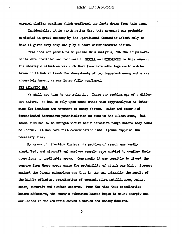carried similar headings which confirmed the tacts drawn from this area.

Incidentally, it is worth noting that this movement was probabl7 conducted in great secrecy by the Operational Commander Afioat only to have it given away completely by a shore administrative office.

Time does not permit us to pursue this analysis, but the ships movements were predicted and followed to MANILA and SINGAPORE in this manner. The strategic situation was such that immediate advantage could not be taken of it but at least the whereabouts of two important enemy units was accurately known, as was later fully confirmed.

#### THE ATLANTIC WAR

We shall now turn to the Atlantic. There our problem was of a different nature. We had to rely upon means other than cryptanalysis to determine the location and movement of enemy forces. Radar and sonar had demonstrated tremendous potentialities as aids in the U-boat hunt, but these aids had to be brought within their effective range before they could be useful. It was here that communication intelligence supplied the necessary link.

By means of direction finders the problem of search was vastly simplified, and aircraft and surface vessels were enabled to confine their • operations to profitable areas. Conversely it was possible to divert the convoys from those areas where the probability of attack was high. Success against the German submarines was thus in the end primarily the result of the highly efficient coordination of communication intelligence, radar, sonar, aircraft and surface escorts. From the time this coordination became effective, the enemy's submarine losses began to mount sharply and our losses in the Atlantic showed a marked and steady decline.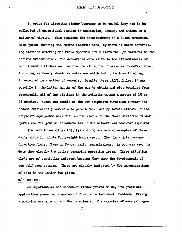In order for direction finder bearings to be useful they had to be collected at operational centers in Washington, London, and Ottawa in a matter of minutes. This required the establishment of a flash communication system covering the entire Atlantic area, by means of which controlling stations covering the radio spectrum could alert the D/F stations to the desired transmission. The submarines were alive to the effectiveness of our direction finders and resorted to all sorts of measures to defeat them, including extremely short transmissions which had to be identified and intercepted in a matter of secoms. Despite these difficulties, it was possible in the latter months of the war to obtain and plot bearings from practically all of the stations in the Atlantic within a matter of 15 or 2¢ minutes. About the middle of the war shipboard direction finders had become sufficiently workable to permit their use by forces afloat. These shipboard equipments were then coordinated with the shore direction timer system and the general effectiveness of the network was somewhat improved.

The next three slides  $(6)$ ,  $(7)$  and  $(8)$  are actual examples of three daily situation plots forty-eight hours apart. The black dots represent direction finder fixes on U-boat radio transmissions. As you can see, the dots show clearly the active submarine operating areas. These situation plots are of particular interest because they show the developments of two wolf-pack attacks. These are clearly indicated by the concentrations of dots in the latter two plots.

## D/F PROBLEMS

As important as the direction fimer proved to be, its practical application presented a number of formidable technical. problems. Fixing a position was more an art than a science. The vagaries of wave propaga-